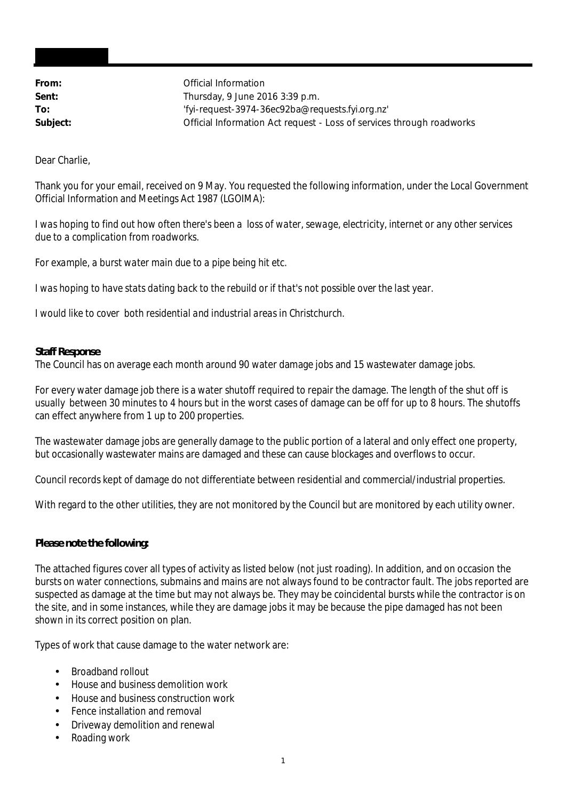**From:** Official Information **Sent:** Thursday, 9 June 2016 3:39 p.m. **To:** 'fyi-request-3974-36ec92ba@requests.fyi.org.nz' **Subject:** Official Information Act request - Loss of services through roadworks

Dear Charlie,

Thank you for your email, received on 9 May. You requested the following information, under the Local Government Official Information and Meetings Act 1987 (LGOIMA):

*I was hoping to find out how often there's been a loss of water, sewage, electricity, internet or any other services due to a complication from roadworks.*

*For example, a burst water main due to a pipe being hit etc.*

*I was hoping to have stats dating back to the rebuild or if that's not possible over the last year.*

*I would like to cover both residential and industrial areas in Christchurch.*

**Staff Response**

The Council has on average each month around 90 water damage jobs and 15 wastewater damage jobs.

For every water damage job there is a water shutoff required to repair the damage. The length of the shut off is usually between 30 minutes to 4 hours but in the worst cases of damage can be off for up to 8 hours. The shutoffs can effect anywhere from 1 up to 200 properties.

The wastewater damage jobs are generally damage to the public portion of a lateral and only effect one property, but occasionally wastewater mains are damaged and these can cause blockages and overflows to occur.

Council records kept of damage do not differentiate between residential and commercial/industrial properties.

With regard to the other utilities, they are not monitored by the Council but are monitored by each utility owner.

**Please note the following:**

The attached figures cover all types of activity as listed below (not just roading). In addition, and on occasion the bursts on water connections, submains and mains are not always found to be contractor fault. The jobs reported are suspected as damage at the time but may not always be. They may be coincidental bursts while the contractor is on the site, and in some instances, while they are damage jobs it may be because the pipe damaged has not been shown in its correct position on plan.

Types of work that cause damage to the water network are:

- Broadband rollout
- House and business demolition work
- House and business construction work
- Fence installation and removal t.
- Driveway demolition and renewal
- Roading work